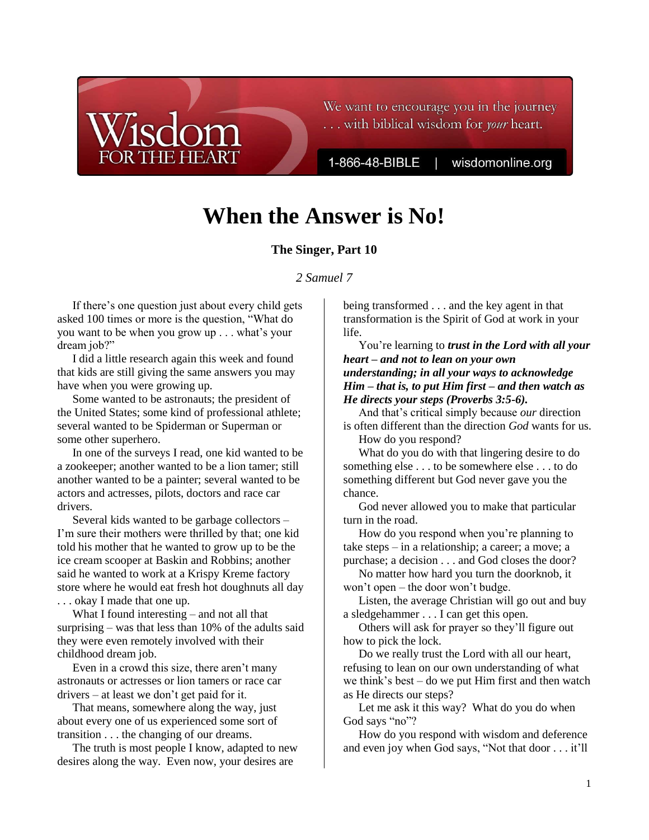We want to encourage you in the journey ... with biblical wisdom for your heart.

1-866-48-BIBLE

wisdomonline.org

# **When the Answer is No!**

## **The Singer, Part 10**

## *2 Samuel 7*

If there's one question just about every child gets asked 100 times or more is the question, "What do you want to be when you grow up . . . what's your dream job?"

HE HEART

I did a little research again this week and found that kids are still giving the same answers you may have when you were growing up.

Some wanted to be astronauts; the president of the United States; some kind of professional athlete; several wanted to be Spiderman or Superman or some other superhero.

In one of the surveys I read, one kid wanted to be a zookeeper; another wanted to be a lion tamer; still another wanted to be a painter; several wanted to be actors and actresses, pilots, doctors and race car drivers.

Several kids wanted to be garbage collectors – I'm sure their mothers were thrilled by that; one kid told his mother that he wanted to grow up to be the ice cream scooper at Baskin and Robbins; another said he wanted to work at a Krispy Kreme factory store where he would eat fresh hot doughnuts all day . . . okay I made that one up.

What I found interesting – and not all that surprising – was that less than 10% of the adults said they were even remotely involved with their childhood dream job.

Even in a crowd this size, there aren't many astronauts or actresses or lion tamers or race car drivers – at least we don't get paid for it.

That means, somewhere along the way, just about every one of us experienced some sort of transition . . . the changing of our dreams.

The truth is most people I know, adapted to new desires along the way. Even now, your desires are

being transformed . . . and the key agent in that transformation is the Spirit of God at work in your life.

## You're learning to *trust in the Lord with all your heart – and not to lean on your own understanding; in all your ways to acknowledge Him – that is, to put Him first – and then watch as He directs your steps (Proverbs 3:5-6).*

And that's critical simply because *our* direction is often different than the direction *God* wants for us. How do you respond?

What do you do with that lingering desire to do something else . . . to be somewhere else . . . to do something different but God never gave you the chance.

God never allowed you to make that particular turn in the road.

How do you respond when you're planning to take steps – in a relationship; a career; a move; a purchase; a decision . . . and God closes the door?

No matter how hard you turn the doorknob, it won't open – the door won't budge.

Listen, the average Christian will go out and buy a sledgehammer . . . I can get this open.

Others will ask for prayer so they'll figure out how to pick the lock.

Do we really trust the Lord with all our heart, refusing to lean on our own understanding of what we think's best – do we put Him first and then watch as He directs our steps?

Let me ask it this way? What do you do when God says "no"?

How do you respond with wisdom and deference and even joy when God says, "Not that door . . . it'll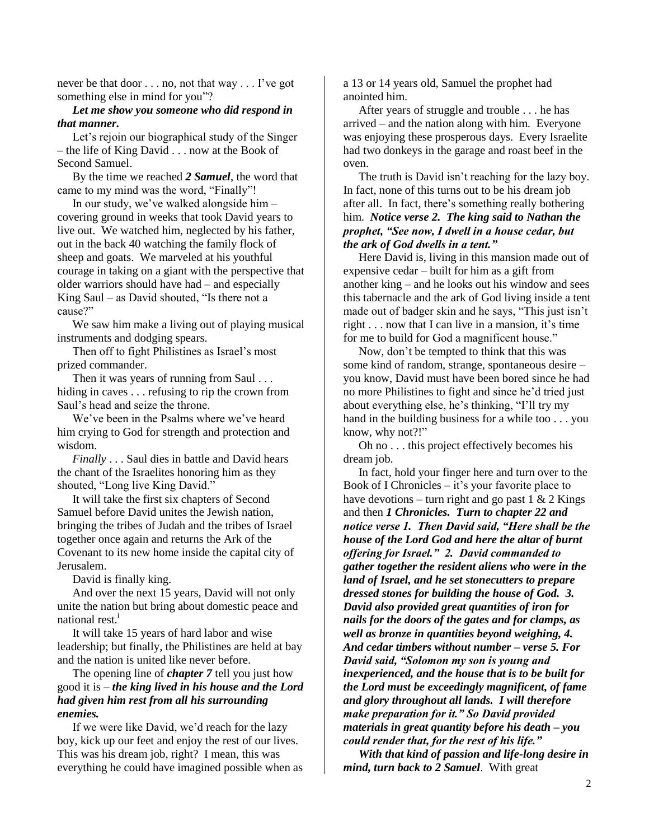never be that door . . . no, not that way . . . I've got something else in mind for you"?

#### *Let me show you someone who did respond in that manner.*

Let's rejoin our biographical study of the Singer – the life of King David . . . now at the Book of Second Samuel.

By the time we reached *2 Samuel*, the word that came to my mind was the word, "Finally"!

In our study, we've walked alongside him – covering ground in weeks that took David years to live out. We watched him, neglected by his father, out in the back 40 watching the family flock of sheep and goats. We marveled at his youthful courage in taking on a giant with the perspective that older warriors should have had – and especially King Saul – as David shouted, "Is there not a cause?"

We saw him make a living out of playing musical instruments and dodging spears.

Then off to fight Philistines as Israel's most prized commander.

Then it was years of running from Saul . . . hiding in caves . . . refusing to rip the crown from Saul's head and seize the throne.

We've been in the Psalms where we've heard him crying to God for strength and protection and wisdom.

*Finally* . . . Saul dies in battle and David hears the chant of the Israelites honoring him as they shouted, "Long live King David."

It will take the first six chapters of Second Samuel before David unites the Jewish nation, bringing the tribes of Judah and the tribes of Israel together once again and returns the Ark of the Covenant to its new home inside the capital city of Jerusalem.

David is finally king.

And over the next 15 years, David will not only unite the nation but bring about domestic peace and national rest. $<sup>1</sup>$ </sup>

It will take 15 years of hard labor and wise leadership; but finally, the Philistines are held at bay and the nation is united like never before.

The opening line of *chapter 7* tell you just how good it is – *the king lived in his house and the Lord had given him rest from all his surrounding enemies.*

If we were like David, we'd reach for the lazy boy, kick up our feet and enjoy the rest of our lives. This was his dream job, right? I mean, this was everything he could have imagined possible when as a 13 or 14 years old, Samuel the prophet had anointed him.

After years of struggle and trouble . . . he has arrived – and the nation along with him. Everyone was enjoying these prosperous days. Every Israelite had two donkeys in the garage and roast beef in the oven.

The truth is David isn't reaching for the lazy boy. In fact, none of this turns out to be his dream job after all. In fact, there's something really bothering him. *Notice verse 2. The king said to Nathan the prophet, "See now, I dwell in a house cedar, but the ark of God dwells in a tent."*

Here David is, living in this mansion made out of expensive cedar – built for him as a gift from another king – and he looks out his window and sees this tabernacle and the ark of God living inside a tent made out of badger skin and he says, "This just isn't right . . . now that I can live in a mansion, it's time for me to build for God a magnificent house."

Now, don't be tempted to think that this was some kind of random, strange, spontaneous desire – you know, David must have been bored since he had no more Philistines to fight and since he'd tried just about everything else, he's thinking, "I'll try my hand in the building business for a while too . . . you know, why not?!"

Oh no . . . this project effectively becomes his dream job.

In fact, hold your finger here and turn over to the Book of I Chronicles – it's your favorite place to have devotions – turn right and go past  $1 \& 2$  Kings and then *1 Chronicles. Turn to chapter 22 and notice verse 1. Then David said, "Here shall be the house of the Lord God and here the altar of burnt offering for Israel." 2. David commanded to gather together the resident aliens who were in the land of Israel, and he set stonecutters to prepare dressed stones for building the house of God. 3. David also provided great quantities of iron for nails for the doors of the gates and for clamps, as well as bronze in quantities beyond weighing, 4. And cedar timbers without number – verse 5. For David said, "Solomon my son is young and inexperienced, and the house that is to be built for the Lord must be exceedingly magnificent, of fame and glory throughout all lands. I will therefore make preparation for it." So David provided materials in great quantity before his death – you could render that, for the rest of his life."*

*With that kind of passion and life-long desire in mind, turn back to 2 Samuel*. With great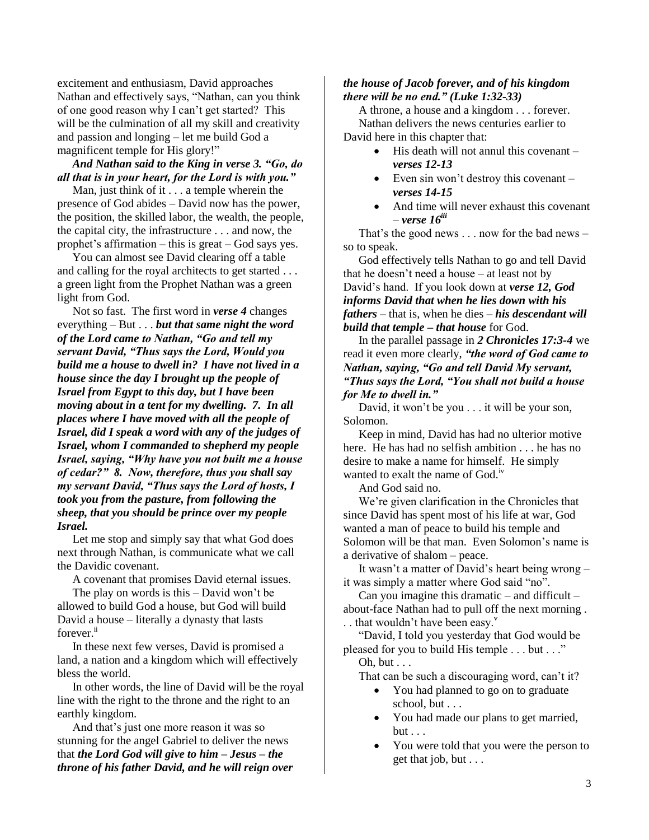excitement and enthusiasm, David approaches Nathan and effectively says, "Nathan, can you think of one good reason why I can't get started? This will be the culmination of all my skill and creativity and passion and longing – let me build God a magnificent temple for His glory!"

*And Nathan said to the King in verse 3. "Go, do all that is in your heart, for the Lord is with you."*

Man, just think of it . . . a temple wherein the presence of God abides – David now has the power, the position, the skilled labor, the wealth, the people, the capital city, the infrastructure . . . and now, the prophet's affirmation – this is great – God says yes.

You can almost see David clearing off a table and calling for the royal architects to get started . . . a green light from the Prophet Nathan was a green light from God.

Not so fast. The first word in *verse 4* changes everything – But . . . *but that same night the word of the Lord came to Nathan, "Go and tell my servant David, "Thus says the Lord, Would you build me a house to dwell in? I have not lived in a house since the day I brought up the people of Israel from Egypt to this day, but I have been moving about in a tent for my dwelling. 7. In all places where I have moved with all the people of Israel, did I speak a word with any of the judges of Israel, whom I commanded to shepherd my people Israel, saying, "Why have you not built me a house of cedar?" 8. Now, therefore, thus you shall say my servant David, "Thus says the Lord of hosts, I took you from the pasture, from following the sheep, that you should be prince over my people Israel.*

Let me stop and simply say that what God does next through Nathan, is communicate what we call the Davidic covenant.

A covenant that promises David eternal issues.

The play on words is this – David won't be allowed to build God a house, but God will build David a house – literally a dynasty that lasts forever.<sup>ii</sup>

In these next few verses, David is promised a land, a nation and a kingdom which will effectively bless the world.

In other words, the line of David will be the royal line with the right to the throne and the right to an earthly kingdom.

And that's just one more reason it was so stunning for the angel Gabriel to deliver the news that *the Lord God will give to him – Jesus – the throne of his father David, and he will reign over* 

### *the house of Jacob forever, and of his kingdom there will be no end." (Luke 1:32-33)*

A throne, a house and a kingdom . . . forever. Nathan delivers the news centuries earlier to David here in this chapter that:

- $\bullet$  His death will not annul this covenant *verses 12-13*
- Even sin won't destroy this covenant *verses 14-15*
- And time will never exhaust this covenant – *verse 16iii*

That's the good news . . . now for the bad news – so to speak.

God effectively tells Nathan to go and tell David that he doesn't need a house – at least not by David's hand. If you look down at *verse 12, God informs David that when he lies down with his fathers* – that is, when he dies – *his descendant will build that temple – that house* for God.

In the parallel passage in *2 Chronicles 17:3-4* we read it even more clearly, *"the word of God came to Nathan, saying, "Go and tell David My servant, "Thus says the Lord, "You shall not build a house for Me to dwell in."*

David, it won't be you . . . it will be your son, Solomon.

Keep in mind, David has had no ulterior motive here. He has had no selfish ambition . . . he has no desire to make a name for himself. He simply wanted to exalt the name of  $God.$ <sup>iv</sup>

And God said no.

We're given clarification in the Chronicles that since David has spent most of his life at war, God wanted a man of peace to build his temple and Solomon will be that man. Even Solomon's name is a derivative of shalom – peace.

It wasn't a matter of David's heart being wrong – it was simply a matter where God said "no".

Can you imagine this dramatic – and difficult – about-face Nathan had to pull off the next morning . . . that wouldn't have been easy. $v$ 

"David, I told you yesterday that God would be pleased for you to build His temple . . . but . . ."

Oh, but . . .

That can be such a discouraging word, can't it?

- You had planned to go on to graduate school, but . . .
- You had made our plans to get married,  $but \ldots$
- You were told that you were the person to get that job, but . . .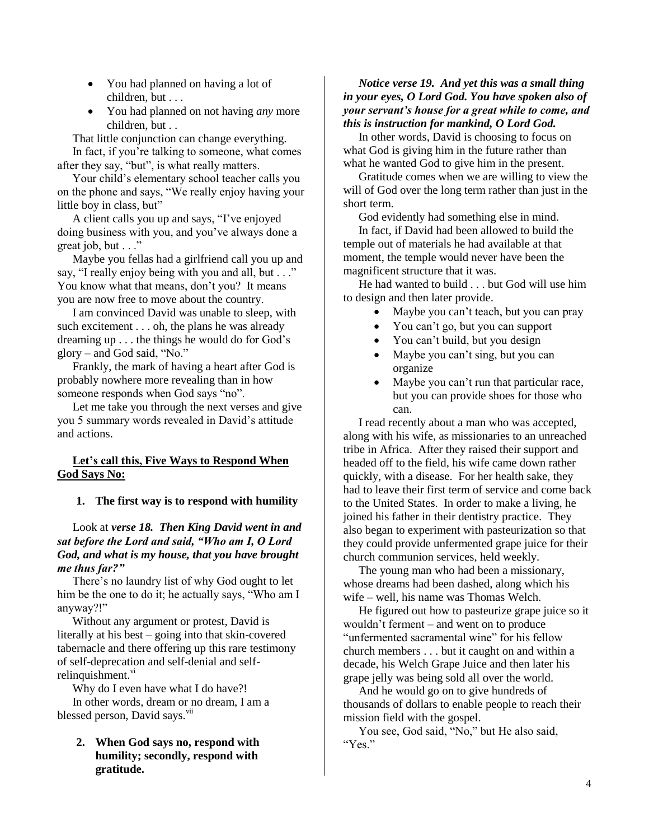- You had planned on having a lot of children, but . . .
- You had planned on not having *any* more children, but . .

That little conjunction can change everything. In fact, if you're talking to someone, what comes after they say, "but", is what really matters.

Your child's elementary school teacher calls you on the phone and says, "We really enjoy having your little boy in class, but"

 A client calls you up and says, "I've enjoyed doing business with you, and you've always done a great job, but  $\ldots$ "

Maybe you fellas had a girlfriend call you up and say, "I really enjoy being with you and all, but . . ." You know what that means, don't you? It means you are now free to move about the country.

I am convinced David was unable to sleep, with such excitement . . . oh, the plans he was already dreaming up . . . the things he would do for God's glory – and God said, "No."

Frankly, the mark of having a heart after God is probably nowhere more revealing than in how someone responds when God says "no".

Let me take you through the next verses and give you 5 summary words revealed in David's attitude and actions.

## **Let's call this, Five Ways to Respond When God Says No:**

## **1. The first way is to respond with humility**

## Look at *verse 18. Then King David went in and sat before the Lord and said, "Who am I, O Lord God, and what is my house, that you have brought me thus far?"*

There's no laundry list of why God ought to let him be the one to do it; he actually says, "Who am I anyway?!"

Without any argument or protest, David is literally at his best – going into that skin-covered tabernacle and there offering up this rare testimony of self-deprecation and self-denial and selfrelinquishment. $v<sub>i</sub>$ 

Why do I even have what I do have?!

In other words, dream or no dream, I am a blessed person, David says.<sup>vii</sup>

**2. When God says no, respond with humility; secondly, respond with gratitude.**

### *Notice verse 19. And yet this was a small thing in your eyes, O Lord God. You have spoken also of your servant's house for a great while to come, and this is instruction for mankind, O Lord God.*

In other words, David is choosing to focus on what God is giving him in the future rather than what he wanted God to give him in the present.

Gratitude comes when we are willing to view the will of God over the long term rather than just in the short term.

God evidently had something else in mind.

In fact, if David had been allowed to build the temple out of materials he had available at that moment, the temple would never have been the magnificent structure that it was.

He had wanted to build . . . but God will use him to design and then later provide.

- Maybe you can't teach, but you can pray
- You can't go, but you can support
- You can't build, but you design
- Maybe you can't sing, but you can organize
- Maybe you can't run that particular race, but you can provide shoes for those who can.

I read recently about a man who was accepted, along with his wife, as missionaries to an unreached tribe in Africa. After they raised their support and headed off to the field, his wife came down rather quickly, with a disease. For her health sake, they had to leave their first term of service and come back to the United States. In order to make a living, he joined his father in their dentistry practice. They also began to experiment with pasteurization so that they could provide unfermented grape juice for their church communion services, held weekly.

The young man who had been a missionary, whose dreams had been dashed, along which his wife – well, his name was Thomas Welch.

He figured out how to pasteurize grape juice so it wouldn't ferment – and went on to produce "unfermented sacramental wine" for his fellow church members . . . but it caught on and within a decade, his Welch Grape Juice and then later his grape jelly was being sold all over the world.

And he would go on to give hundreds of thousands of dollars to enable people to reach their mission field with the gospel.

You see, God said, "No," but He also said, "Yes."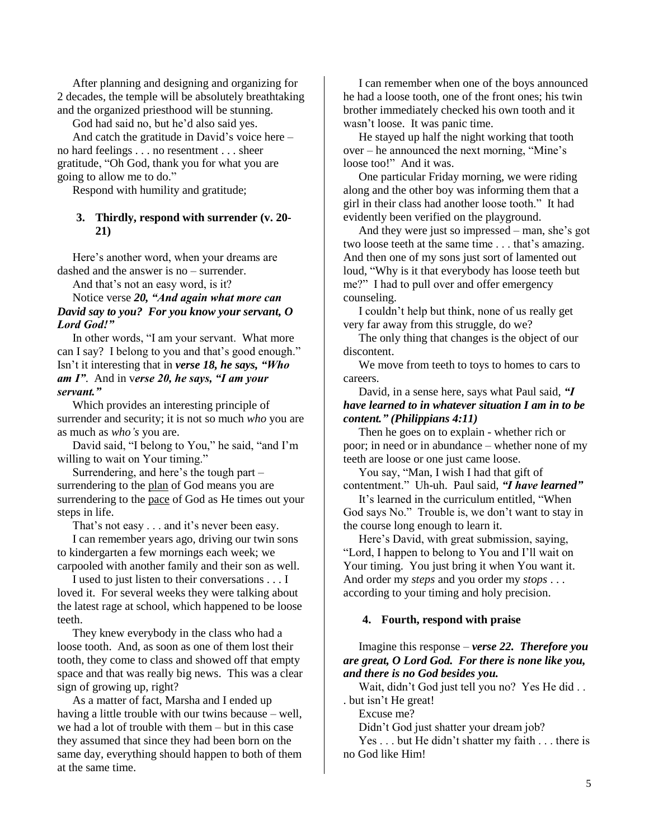After planning and designing and organizing for 2 decades, the temple will be absolutely breathtaking and the organized priesthood will be stunning.

God had said no, but he'd also said yes.

And catch the gratitude in David's voice here – no hard feelings . . . no resentment . . . sheer gratitude, "Oh God, thank you for what you are going to allow me to do."

Respond with humility and gratitude;

#### **3. Thirdly, respond with surrender (v. 20- 21)**

Here's another word, when your dreams are dashed and the answer is no – surrender.

And that's not an easy word, is it?

Notice verse *20, "And again what more can David say to you? For you know your servant, O Lord God!"*

In other words, "I am your servant. What more can I say? I belong to you and that's good enough." Isn't it interesting that in *verse 18, he says, "Who am I"*. And in v*erse 20, he says, "I am your servant."* 

Which provides an interesting principle of surrender and security; it is not so much *who* you are as much as *who's* you are.

David said, "I belong to You," he said, "and I'm willing to wait on Your timing."

Surrendering, and here's the tough part – surrendering to the plan of God means you are surrendering to the pace of God as He times out your steps in life.

That's not easy . . . and it's never been easy.

I can remember years ago, driving our twin sons to kindergarten a few mornings each week; we carpooled with another family and their son as well.

I used to just listen to their conversations . . . I loved it. For several weeks they were talking about the latest rage at school, which happened to be loose teeth.

They knew everybody in the class who had a loose tooth. And, as soon as one of them lost their tooth, they come to class and showed off that empty space and that was really big news. This was a clear sign of growing up, right?

As a matter of fact, Marsha and I ended up having a little trouble with our twins because – well, we had a lot of trouble with them – but in this case they assumed that since they had been born on the same day, everything should happen to both of them at the same time.

I can remember when one of the boys announced he had a loose tooth, one of the front ones; his twin brother immediately checked his own tooth and it wasn't loose. It was panic time.

He stayed up half the night working that tooth over – he announced the next morning, "Mine's loose too!" And it was.

One particular Friday morning, we were riding along and the other boy was informing them that a girl in their class had another loose tooth." It had evidently been verified on the playground.

And they were just so impressed – man, she's got two loose teeth at the same time . . . that's amazing. And then one of my sons just sort of lamented out loud, "Why is it that everybody has loose teeth but me?" I had to pull over and offer emergency counseling.

I couldn't help but think, none of us really get very far away from this struggle, do we?

The only thing that changes is the object of our discontent.

We move from teeth to toys to homes to cars to careers.

David, in a sense here, says what Paul said, *"I have learned to in whatever situation I am in to be content." (Philippians 4:11)*

Then he goes on to explain - whether rich or poor; in need or in abundance – whether none of my teeth are loose or one just came loose.

You say, "Man, I wish I had that gift of contentment." Uh-uh. Paul said, *"I have learned"*

It's learned in the curriculum entitled, "When God says No." Trouble is, we don't want to stay in the course long enough to learn it.

Here's David, with great submission, saying, "Lord, I happen to belong to You and I'll wait on Your timing. You just bring it when You want it. And order my *steps* and you order my *stops* . . . according to your timing and holy precision.

#### **4. Fourth, respond with praise**

Imagine this response – *verse 22. Therefore you are great, O Lord God. For there is none like you, and there is no God besides you.*

Wait, didn't God just tell you no? Yes He did . . . but isn't He great!

Excuse me?

Didn't God just shatter your dream job?

Yes . . . but He didn't shatter my faith . . . there is no God like Him!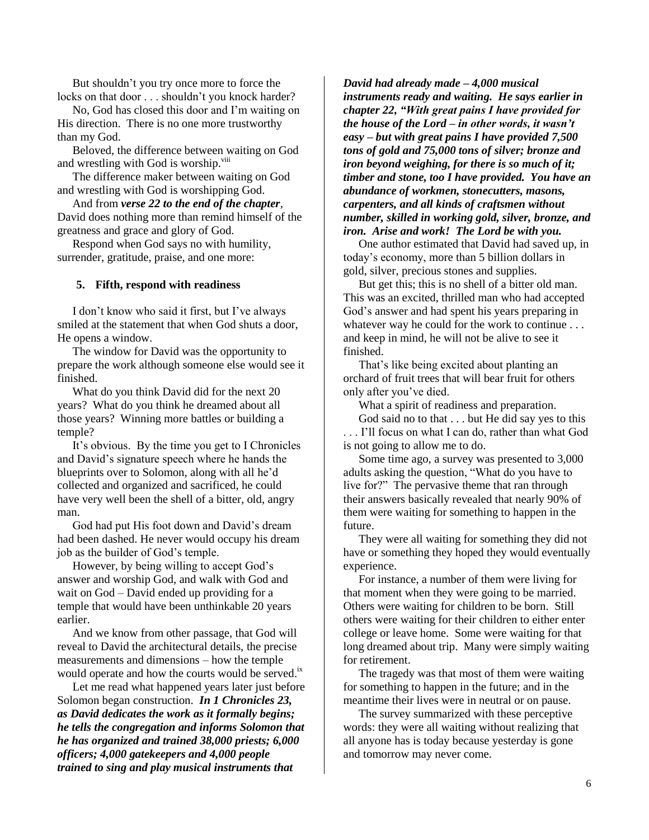But shouldn't you try once more to force the locks on that door . . . shouldn't you knock harder?

No, God has closed this door and I'm waiting on His direction. There is no one more trustworthy than my God.

Beloved, the difference between waiting on God and wrestling with God is worship.<sup>viii</sup>

The difference maker between waiting on God and wrestling with God is worshipping God.

And from *verse 22 to the end of the chapter*, David does nothing more than remind himself of the greatness and grace and glory of God.

Respond when God says no with humility, surrender, gratitude, praise, and one more:

#### **5. Fifth, respond with readiness**

I don't know who said it first, but I've always smiled at the statement that when God shuts a door, He opens a window.

The window for David was the opportunity to prepare the work although someone else would see it finished.

What do you think David did for the next 20 years? What do you think he dreamed about all those years? Winning more battles or building a temple?

It's obvious. By the time you get to I Chronicles and David's signature speech where he hands the blueprints over to Solomon, along with all he'd collected and organized and sacrificed, he could have very well been the shell of a bitter, old, angry man.

God had put His foot down and David's dream had been dashed. He never would occupy his dream job as the builder of God's temple.

However, by being willing to accept God's answer and worship God, and walk with God and wait on God – David ended up providing for a temple that would have been unthinkable 20 years earlier.

And we know from other passage, that God will reveal to David the architectural details, the precise measurements and dimensions – how the temple would operate and how the courts would be served.<sup>ix</sup>

Let me read what happened years later just before Solomon began construction. *In 1 Chronicles 23, as David dedicates the work as it formally begins; he tells the congregation and informs Solomon that he has organized and trained 38,000 priests; 6,000 officers; 4,000 gatekeepers and 4,000 people trained to sing and play musical instruments that* 

*David had already made – 4,000 musical instruments ready and waiting. He says earlier in chapter 22, "With great pains I have provided for the house of the Lord – in other words, it wasn't easy – but with great pains I have provided 7,500 tons of gold and 75,000 tons of silver; bronze and iron beyond weighing, for there is so much of it; timber and stone, too I have provided. You have an abundance of workmen, stonecutters, masons, carpenters, and all kinds of craftsmen without number, skilled in working gold, silver, bronze, and iron. Arise and work! The Lord be with you.*

One author estimated that David had saved up, in today's economy, more than 5 billion dollars in gold, silver, precious stones and supplies.

But get this; this is no shell of a bitter old man. This was an excited, thrilled man who had accepted God's answer and had spent his years preparing in whatever way he could for the work to continue . . . and keep in mind, he will not be alive to see it finished.

That's like being excited about planting an orchard of fruit trees that will bear fruit for others only after you've died.

What a spirit of readiness and preparation.

God said no to that . . . but He did say yes to this . . . I'll focus on what I can do, rather than what God is not going to allow me to do.

Some time ago, a survey was presented to 3,000 adults asking the question, "What do you have to live for?" The pervasive theme that ran through their answers basically revealed that nearly 90% of them were waiting for something to happen in the future.

They were all waiting for something they did not have or something they hoped they would eventually experience.

For instance, a number of them were living for that moment when they were going to be married. Others were waiting for children to be born. Still others were waiting for their children to either enter college or leave home. Some were waiting for that long dreamed about trip. Many were simply waiting for retirement.

The tragedy was that most of them were waiting for something to happen in the future; and in the meantime their lives were in neutral or on pause.

The survey summarized with these perceptive words: they were all waiting without realizing that all anyone has is today because yesterday is gone and tomorrow may never come.